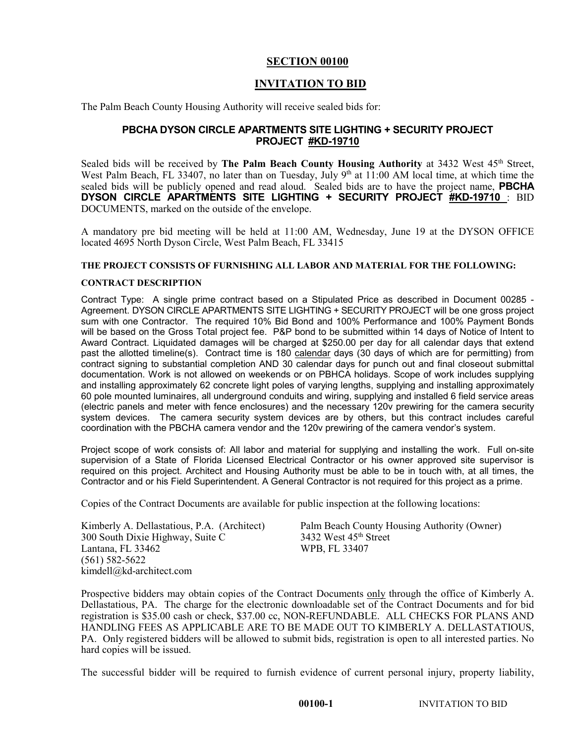### **SECTION 00100**

# **INVITATION TO BID**

The Palm Beach County Housing Authority will receive sealed bids for:

## **PBCHA DYSON CIRCLE APARTMENTS SITE LIGHTING + SECURITY PROJECT PROJECT #KD-19710**

Sealed bids will be received by The Palm Beach County Housing Authority at 3432 West 45<sup>th</sup> Street, West Palm Beach, FL 33407, no later than on Tuesday, July 9<sup>th</sup> at 11:00 AM local time, at which time the sealed bids will be publicly opened and read aloud. Sealed bids are to have the project name, **PBCHA DYSON CIRCLE APARTMENTS SITE LIGHTING + SECURITY PROJECT #KD-19710** : BID DOCUMENTS, marked on the outside of the envelope.

A mandatory pre bid meeting will be held at 11:00 AM, Wednesday, June 19 at the DYSON OFFICE located 4695 North Dyson Circle, West Palm Beach, FL 33415

### **THE PROJECT CONSISTS OF FURNISHING ALL LABOR AND MATERIAL FOR THE FOLLOWING:**

### **CONTRACT DESCRIPTION**

Contract Type: A single prime contract based on a Stipulated Price as described in Document 00285 - Agreement. DYSON CIRCLE APARTMENTS SITE LIGHTING + SECURITY PROJECT will be one gross project sum with one Contractor. The required 10% Bid Bond and 100% Performance and 100% Payment Bonds will be based on the Gross Total project fee. P&P bond to be submitted within 14 days of Notice of Intent to Award Contract. Liquidated damages will be charged at \$250.00 per day for all calendar days that extend past the allotted timeline(s). Contract time is 180 calendar days (30 days of which are for permitting) from contract signing to substantial completion AND 30 calendar days for punch out and final closeout submittal documentation. Work is not allowed on weekends or on PBHCA holidays. Scope of work includes supplying and installing approximately 62 concrete light poles of varying lengths, supplying and installing approximately 60 pole mounted luminaires, all underground conduits and wiring, supplying and installed 6 field service areas (electric panels and meter with fence enclosures) and the necessary 120v prewiring for the camera security system devices. The camera security system devices are by others, but this contract includes careful coordination with the PBCHA camera vendor and the 120v prewiring of the camera vendor's system.

Project scope of work consists of: All labor and material for supplying and installing the work. Full on-site supervision of a State of Florida Licensed Electrical Contractor or his owner approved site supervisor is required on this project. Architect and Housing Authority must be able to be in touch with, at all times, the Contractor and or his Field Superintendent. A General Contractor is not required for this project as a prime.

Copies of the Contract Documents are available for public inspection at the following locations:

| Kimberly A. Dellastatious, P.A. (Architect) |  |
|---------------------------------------------|--|
| 300 South Dixie Highway, Suite C            |  |
| Lantana. FL 33462                           |  |
| (561) 582-5622                              |  |
| kimdell@kd-architect.com                    |  |

Palm Beach County Housing Authority (Owner) 3432 West  $45<sup>th</sup>$  Street WPB, FL 33407

Prospective bidders may obtain copies of the Contract Documents only through the office of Kimberly A. Dellastatious, PA. The charge for the electronic downloadable set of the Contract Documents and for bid registration is \$35.00 cash or check, \$37.00 cc, NON-REFUNDABLE. ALL CHECKS FOR PLANS AND HANDLING FEES AS APPLICABLE ARE TO BE MADE OUT TO KIMBERLY A. DELLASTATIOUS, PA. Only registered bidders will be allowed to submit bids, registration is open to all interested parties. No hard copies will be issued.

The successful bidder will be required to furnish evidence of current personal injury, property liability,